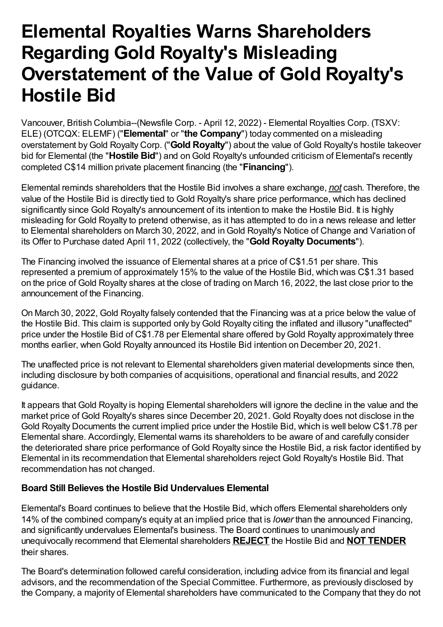# **Elemental Royalties Warns Shareholders Regarding Gold Royalty's Misleading Overstatement of the Value of Gold Royalty's Hostile Bid**

Vancouver, British Columbia--(Newsfile Corp. - April 12, 2022) - Elemental Royalties Corp. (TSXV: ELE) (OTCQX: ELEMF) ("**Elemental**" or "**the Company**") today commented on a misleading overstatement byGold Royalty Corp. ("**Gold Royalty**") about the value of Gold Royalty's hostile takeover bid for Elemental (the "Hostile Bid") and on Gold Royalty's unfounded criticism of Elemental's recently completed C\$14 million private placement financing (the "**Financing**").

Elemental reminds shareholders that the Hostile Bid involves a share exchange, *not* cash. Therefore, the value of the Hostile Bid is directly tied to Gold Royalty's share price performance, which has declined significantly since Gold Royalty's announcement of its intention to make the Hostile Bid. It is highly misleading for Gold Royalty to pretend otherwise, as it has attempted to do in a news release and letter to Elemental shareholders on March 30, 2022, and inGold Royalty's Notice of Change and Variation of its Offer to Purchase dated April 11, 2022 (collectively, the "**Gold Royalty Documents**").

The Financing involved the issuance of Elemental shares at a price of C\$1.51 per share. This represented a premium of approximately 15% to the value of the Hostile Bid, which was C\$1.31 based on the price of Gold Royalty shares at the close of trading on March 16, 2022, the last close prior to the announcement of the Financing.

On March 30, 2022, Gold Royalty falsely contended that the Financing was at a price below the value of the Hostile Bid. This claim is supported only byGold Royalty citing the inflated and illusory "unaffected" price under the Hostile Bid of C\$1.78 per Elemental share offered byGold Royalty approximately three months earlier, when Gold Royalty announced its Hostile Bid intention on December 20, 2021.

The unaffected price is not relevant to Elemental shareholders given material developments since then, including disclosure by both companies of acquisitions, operational and financial results, and 2022 guidance.

It appears that Gold Royalty is hoping Elemental shareholders will ignore the decline in the value and the market price of Gold Royalty's shares since December 20, 2021. Gold Royalty does not disclose in the Gold Royalty Documents the current implied price under the Hostile Bid, which is well below C\$1.78 per Elemental share. Accordingly, Elemental warns its shareholders to be aware of and carefully consider the deteriorated share price performance of Gold Royalty since the Hostile Bid, a risk factor identified by Elemental in its recommendation that Elemental shareholders reject Gold Royalty's Hostile Bid. That recommendation has not changed.

# **Board Still Believes the Hostile Bid Undervalues Elemental**

Elemental's Board continues to believe that the Hostile Bid, which offers Elemental shareholders only 14% of the combined company's equity at an implied price that is *lower* than the announced Financing, and significantly undervalues Elemental's business. The Board continues to unanimously and unequivocally recommend that Elemental shareholders **REJECT** the Hostile Bid and **NOT TENDER** their shares.

The Board's determination followed careful consideration, including advice from its financial and legal advisors, and the recommendation of the Special Committee. Furthermore, as previously disclosed by the Company, a majority of Elemental shareholders have communicated to the Company that they do not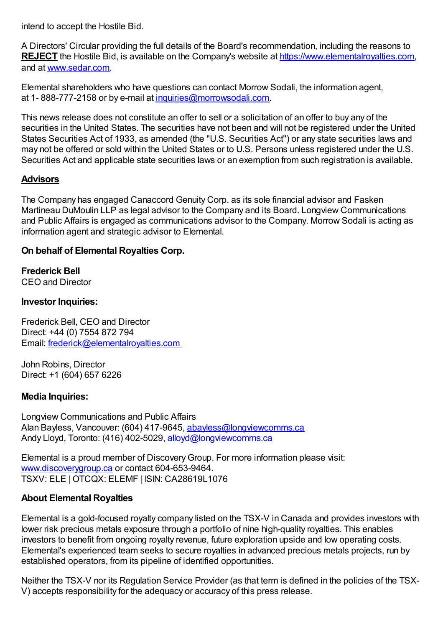intend to accept the Hostile Bid.

A Directors' Circular providing the full details of the Board's recommendation, including the reasons to **REJECT** the Hostile Bid, is available on the Company's website at [https://www.elementalroyalties.com](https://www.newsfilecorp.com/redirect/JZXkwhjGV8), and at [www.sedar.com](https://www.newsfilecorp.com/redirect/GOxzySQ7BJ).

Elemental shareholders who have questions can contact Morrow Sodali, the information agent, at 1-888-777-2158 or by e-mail at [inquiries@morrowsodali.com.](mailto:inquiries@morrowsodali.com)

This news release does not constitute an offer to sell or a solicitation of an offer to buy any of the securities in the United States. The securities have not been and will not be registered under the United States Securities Act of 1933, as amended (the "U.S. Securities Act") or any state securities laws and may not be offered or sold within the United States or to U.S. Persons unless registered under the U.S. Securities Act and applicable state securities laws or an exemption from such registration is available.

## **Advisors**

The Company has engaged Canaccord Genuity Corp. as its sole financial advisor and Fasken Martineau DuMoulin LLP as legal advisor to the Company and its Board. Longview Communications and Public Affairs is engaged as communications advisor to the Company. Morrow Sodali is acting as information agent and strategic advisor to Elemental.

## **On behalf of Elemental Royalties Corp.**

**Frederick Bell** CEO and Director

#### **Investor Inquiries:**

Frederick Bell, CEO and Director Direct: +44 (0) 7554 872 794 Email: [frederick@elementalroyalties.com](mailto:frederick@elementalroyalties.com)

John Robins, Director Direct: +1 (604) 657 6226

#### **Media Inquiries:**

Longview Communications and Public Affairs Alan Bayless, Vancouver: (604) 417-9645, [abayless@longviewcomms.ca](mailto:abayless@longviewcomms.ca) Andy Lloyd, Toronto: (416) 402-5029, alloyd@longyiewcomms.ca

Elemental is a proud member of DiscoveryGroup. For more information please visit: [www.discoverygroup.ca](https://www.newsfilecorp.com/redirect/Qrv2EcXYNM) or contact 604-653-9464. TSXV: ELE |OTCQX: ELEMF | ISIN: CA28619L1076

#### **About Elemental Royalties**

Elemental is a gold-focused royalty company listed on the TSX-V in Canada and provides investors with lower risk precious metals exposure through a portfolio of nine high-quality royalties. This enables investors to benefit from ongoing royalty revenue, future exploration upside and low operating costs. Elemental's experienced team seeks to secure royalties in advanced precious metals projects, run by established operators, from its pipeline of identified opportunities.

Neither the TSX-V nor its Regulation Service Provider (as that term is defined in the policies of the TSX-V) accepts responsibility for the adequacy or accuracy of this press release.